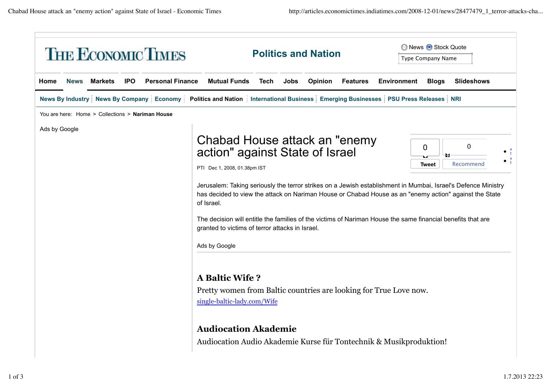| <b>THE ECONOMIC TIMES</b> |               |                |            |                                                  |                                                                                                                                                                                                                                                                                                   | <b>Politics and Nation</b> |      |         |                 | ◯ News + Stock Quote<br><b>Type Company Name</b> |                   |                                                                                                                                                                                                                                                  |  |
|---------------------------|---------------|----------------|------------|--------------------------------------------------|---------------------------------------------------------------------------------------------------------------------------------------------------------------------------------------------------------------------------------------------------------------------------------------------------|----------------------------|------|---------|-----------------|--------------------------------------------------|-------------------|--------------------------------------------------------------------------------------------------------------------------------------------------------------------------------------------------------------------------------------------------|--|
| Home                      | <b>News</b>   | <b>Markets</b> | <b>IPO</b> | <b>Personal Finance</b>                          | <b>Mutual Funds</b>                                                                                                                                                                                                                                                                               | Tech                       | Jobs | Opinion | <b>Features</b> | <b>Environment</b>                               | <b>Blogs</b>      | <b>Slideshows</b>                                                                                                                                                                                                                                |  |
|                           |               |                |            |                                                  | News By Industry   News By Company   Economy   Politics and Nation   International Business   Emerging Businesses   PSU Press Releases   NRI                                                                                                                                                      |                            |      |         |                 |                                                  |                   |                                                                                                                                                                                                                                                  |  |
|                           |               |                |            | You are here: Home > Collections > Nariman House |                                                                                                                                                                                                                                                                                                   |                            |      |         |                 |                                                  |                   |                                                                                                                                                                                                                                                  |  |
|                           | Ads by Google |                |            |                                                  | Chabad House attack an "enemy<br>action" against State of Israel<br>PTI Dec 1, 2008, 01.38pm IST<br>of Israel.<br>The decision will entitle the families of the victims of Nariman House the same financial benefits that are<br>granted to victims of terror attacks in Israel.<br>Ads by Google |                            |      |         |                 |                                                  | 0<br><b>Tweet</b> | $\Omega$<br>Recommend<br>Jerusalem: Taking seriously the terror strikes on a Jewish establishment in Mumbai, Israel's Defence Ministry<br>has decided to view the attack on Nariman House or Chabad House as an "enemy action" against the State |  |
|                           |               |                |            |                                                  | <b>A Baltic Wife?</b><br>Pretty women from Baltic countries are looking for True Love now.<br>single-baltic-lady.com/Wife<br><b>Audiocation Akademie</b><br>Audiocation Audio Akademie Kurse für Tontechnik & Musikproduktion!                                                                    |                            |      |         |                 |                                                  |                   |                                                                                                                                                                                                                                                  |  |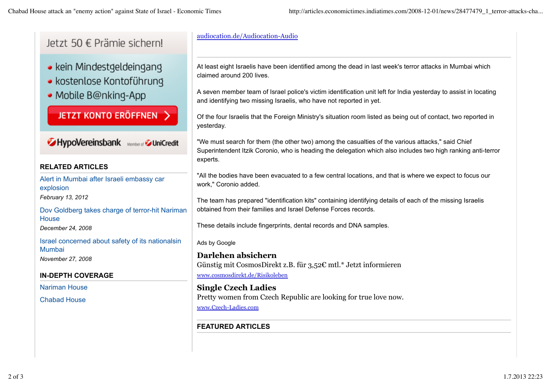letzt 50 € Prämie sichernl

- kein Mindestgeldeingang
- · kostenlose Kontoführung
- Mobile B@nking-App

JETZT KONTO ERÖFFNEN >

HypoVereinsbank Member of DiniCredit

### **RELATED ARTICLES**

Alert in Mumbai after Israeli embassy car explosion *February 13, 2012*

Dov Goldberg takes charge of terror-hit Nariman **House** 

*December 24, 2008*

Israel concerned about safety of its nationalsin Mumbai

*November 27, 2008*

#### **IN-DEPTH COVERAGE**

Nariman House

Chabad House

# audiocation.de/Audiocation-Audio

At least eight Israelis have been identified among the dead in last week's terror attacks in Mumbai which claimed around 200 lives.

A seven member team of Israel police's victim identification unit left for India yesterday to assist in locating and identifying two missing Israelis, who have not reported in yet.

Of the four Israelis that the Foreign Ministry's situation room listed as being out of contact, two reported in yesterday.

"We must search for them (the other two) among the casualties of the various attacks," said Chief Superintendent Itzik Coronio, who is heading the delegation which also includes two high ranking anti-terror experts.

"All the bodies have been evacuated to a few central locations, and that is where we expect to focus our work," Coronio added.

The team has prepared "identification kits" containing identifying details of each of the missing Israelis obtained from their families and Israel Defense Forces records.

These details include fingerprints, dental records and DNA samples.

#### Ads by Google

**Darlehen absichern** Günstig mit CosmosDirekt z.B. für 3,52€ mtl.\* Jetzt informieren www.cosmosdirekt.de/Risikoleben

**Single Czech Ladies** Pretty women from Czech Republic are looking for true love now. www.Czech-Ladies.com

## **FEATURED ARTICLES**